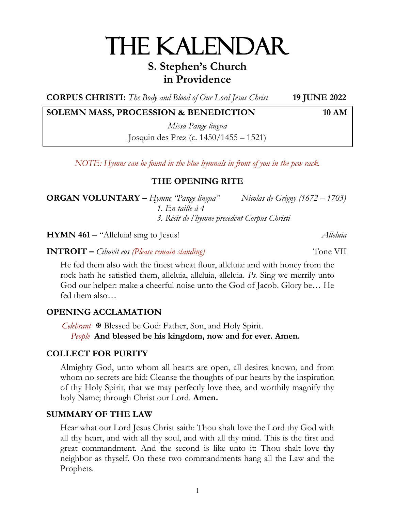# THE KALENDAR

# **S. Stephen's Church in Providence**

**CORPUS CHRISTI:** *The Body and Blood of Our Lord Jesus Christ* **19 JUNE 2022**

# **SOLEMN MASS, PROCESSION & BENEDICTION 10 AM**

*Missa Pange lingua* Josquin des Prez (c. 1450/1455 – 1521)

*NOTE: Hymns can be found in the blue hymnals in front of you in the pew rack.*

# **THE OPENING RITE**

**ORGAN VOLUNTARY –** *Hymne "Pange lingua" Nicolas de Grigny (1672 – 1703) 1. En taille à 4 3. Récit de l'hymne precedent Corpus Christi*

**HYMN 461 –** "Alleluia! sing to Jesus! *Alleluia*

**INTROIT** – *Cibavit eos (Please remain standing)* Tone VII

He fed them also with the finest wheat flour, alleluia: and with honey from the rock hath he satisfied them, alleluia, alleluia, alleluia. *Ps.* Sing we merrily unto God our helper: make a cheerful noise unto the God of Jacob. Glory be… He fed them also…

# **OPENING ACCLAMATION**

*Celebrant* Blessed be God: Father, Son, and Holy Spirit.  *People* **And blessed be his kingdom, now and for ever. Amen.**

# **COLLECT FOR PURITY**

Almighty God, unto whom all hearts are open, all desires known, and from whom no secrets are hid: Cleanse the thoughts of our hearts by the inspiration of thy Holy Spirit, that we may perfectly love thee, and worthily magnify thy holy Name; through Christ our Lord. **Amen.**

# **SUMMARY OF THE LAW**

Hear what our Lord Jesus Christ saith: Thou shalt love the Lord thy God with all thy heart, and with all thy soul, and with all thy mind. This is the first and great commandment. And the second is like unto it: Thou shalt love thy neighbor as thyself. On these two commandments hang all the Law and the Prophets.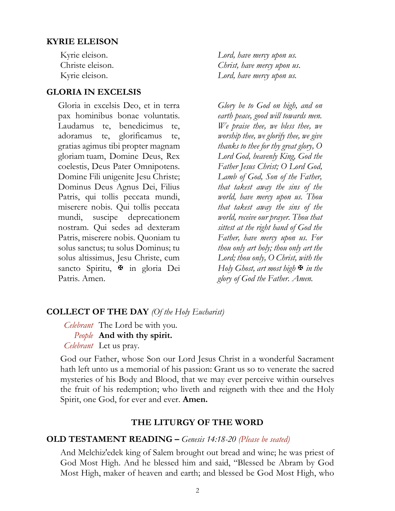#### **KYRIE ELEISON**

#### **GLORIA IN EXCELSIS**

Gloria in excelsis Deo, et in terra pax hominibus bonae voluntatis. Laudamus te, benedicimus te, adoramus te, glorificamus te, gratias agimus tibi propter magnam gloriam tuam, Domine Deus, Rex coelestis, Deus Pater Omnipotens. Domine Fili unigenite Jesu Christe; Dominus Deus Agnus Dei, Filius Patris, qui tollis peccata mundi, miserere nobis. Qui tollis peccata mundi, suscipe deprecationem nostram. Qui sedes ad dexteram Patris, miserere nobis. Quoniam tu solus sanctus; tu solus Dominus; tu solus altissimus, Jesu Christe, cum sancto Spiritu,  $\mathbb F$  in gloria Dei Patris. Amen.

Kyrie eleison. *Lord, have mercy upon us.* Christe eleison. *Christ, have mercy upon us*. Kyrie eleison. *Lord, have mercy upon us.* 

> *Glory be to God on high, and on earth peace, good will towards men. We praise thee, we bless thee, we worship thee, we glorify thee, we give thanks to thee for thy great glory, O Lord God, heavenly King, God the Father Jesus Christ; O Lord God, Lamb of God, Son of the Father, that takest away the sins of the world, have mercy upon us. Thou that takest away the sins of the world, receive our prayer. Thou that sittest at the right hand of God the Father, have mercy upon us. For thou only art holy; thou only art the Lord; thou only, O Christ, with the Holy Ghost, art most high*  $\blacktriangleright$  *in the glory of God the Father. Amen.*

#### **COLLECT OF THE DAY** *(Of the Holy Eucharist)*

*Celebrant* The Lord be with you. *People* **And with thy spirit.** *Celebrant* Let us pray.

God our Father, whose Son our Lord Jesus Christ in a wonderful Sacrament hath left unto us a memorial of his passion: Grant us so to venerate the sacred mysteries of his Body and Blood, that we may ever perceive within ourselves the fruit of his redemption; who liveth and reigneth with thee and the Holy Spirit, one God, for ever and ever. **Amen.**

#### **THE LITURGY OF THE WORD**

#### **OLD TESTAMENT READING –** *Genesis 14:18-20 (Please be seated)*

And Melchiz′edek king of Salem brought out bread and wine; he was priest of God Most High. And he blessed him and said, "Blessed be Abram by God Most High, maker of heaven and earth; and blessed be God Most High, who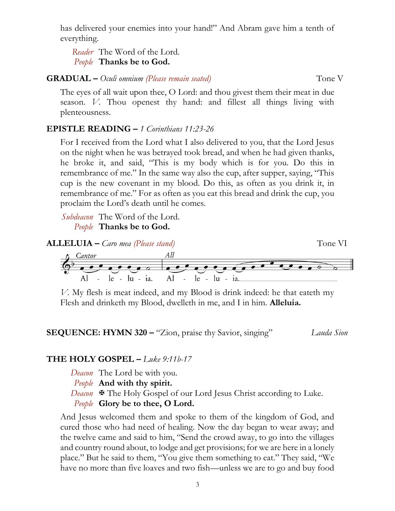has delivered your enemies into your hand!" And Abram gave him a tenth of everything.

*Reader* The Word of the Lord. *People* **Thanks be to God.**

### **GRADUAL** – *Oculi omnium (Please remain seated)* Tone V

The eyes of all wait upon thee, O Lord: and thou givest them their meat in due season. *V.* Thou openest thy hand: and fillest all things living with plenteousness.

# **EPISTLE READING –** *1 Corinthians 11:23-26*

For I received from the Lord what I also delivered to you, that the Lord Jesus on the night when he was betrayed took bread, and when he had given thanks, he broke it, and said, "This is my body which is for you. Do this in remembrance of me." In the same way also the cup, after supper, saying, "This cup is the new covenant in my blood. Do this, as often as you drink it, in remembrance of me." For as often as you eat this bread and drink the cup, you proclaim the Lord's death until he comes.

*Subdeacon* The Word of the Lord. *People* **Thanks be to God.**



*V.* My flesh is meat indeed, and my Blood is drink indeed: he that eateth my Flesh and drinketh my Blood, dwelleth in me, and I in him. **Alleluia.**



# **THE HOLY GOSPEL –** *Luke 9:11b-17*

- *Deacon* The Lord be with you.
- *People* **And with thy spirit.**
- *Deacon*  $\cdot$  **The Holy Gospel of our Lord Jesus Christ according to Luke.**

# *People* **Glory be to thee, O Lord.**

And Jesus welcomed them and spoke to them of the kingdom of God, and cured those who had need of healing. Now the day began to wear away; and the twelve came and said to him, "Send the crowd away, to go into the villages and country round about, to lodge and get provisions; for we are here in a lonely place." But he said to them, "You give them something to eat." They said, "We have no more than five loaves and two fish—unless we are to go and buy food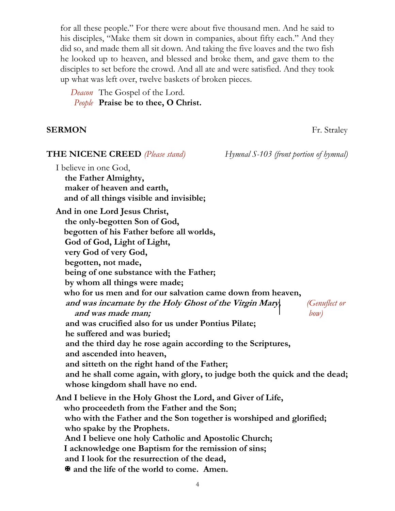for all these people." For there were about five thousand men. And he said to his disciples, "Make them sit down in companies, about fifty each." And they did so, and made them all sit down. And taking the five loaves and the two fish he looked up to heaven, and blessed and broke them, and gave them to the disciples to set before the crowd. And all ate and were satisfied. And they took up what was left over, twelve baskets of broken pieces.

*Deacon* The Gospel of the Lord. *People* **Praise be to thee, O Christ.**

#### **SERMON** Fr. Straley

| <b>THE NICENE CREED</b> (Please stand)                                                                                  | Hymnal S-103 (front portion of hymnal) |
|-------------------------------------------------------------------------------------------------------------------------|----------------------------------------|
| I believe in one God,<br>the Father Almighty,<br>maker of heaven and earth,<br>and of all things visible and invisible; |                                        |
| And in one Lord Jesus Christ,                                                                                           |                                        |
| the only-begotten Son of God,                                                                                           |                                        |
| begotten of his Father before all worlds,                                                                               |                                        |
| God of God, Light of Light,                                                                                             |                                        |
| very God of very God,                                                                                                   |                                        |
| begotten, not made,                                                                                                     |                                        |
| being of one substance with the Father;                                                                                 |                                        |
| by whom all things were made;                                                                                           |                                        |
| who for us men and for our salvation came down from heaven,                                                             |                                        |
| and was incarnate by the Holy Ghost of the Virgin Mary,                                                                 | <i>(Genuflect or</i>                   |
| and was made man;<br>and was crucified also for us under Pontius Pilate;                                                | $\mathit{bow}$                         |
| he suffered and was buried;                                                                                             |                                        |
| and the third day he rose again according to the Scriptures,                                                            |                                        |
| and ascended into heaven,                                                                                               |                                        |
| and sitteth on the right hand of the Father;                                                                            |                                        |
| and he shall come again, with glory, to judge both the quick and the dead;                                              |                                        |
| whose kingdom shall have no end.                                                                                        |                                        |
| And I believe in the Holy Ghost the Lord, and Giver of Life,                                                            |                                        |
| who proceedeth from the Father and the Son;                                                                             |                                        |
| who with the Father and the Son together is worshiped and glorified;                                                    |                                        |
| who spake by the Prophets.                                                                                              |                                        |
| And I believe one holy Catholic and Apostolic Church;                                                                   |                                        |
| I acknowledge one Baptism for the remission of sins;                                                                    |                                        |
| and I look for the resurrection of the dead,                                                                            |                                        |
| MAN and the life of the world to come. Amen.                                                                            |                                        |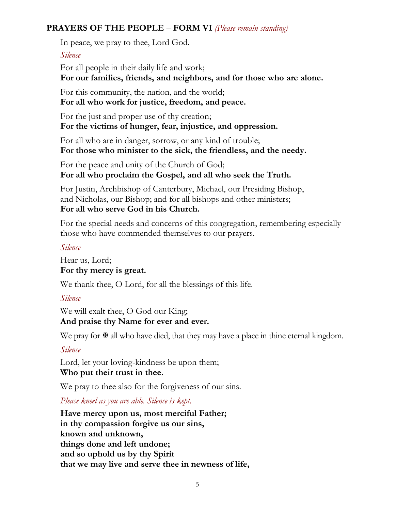# **PRAYERS OF THE PEOPLE** – **FORM VI** *(Please remain standing)*

In peace, we pray to thee, Lord God.

#### *Silence*

For all people in their daily life and work; **For our families, friends, and neighbors, and for those who are alone.**

For this community, the nation, and the world; **For all who work for justice, freedom, and peace.**

For the just and proper use of thy creation; **For the victims of hunger, fear, injustice, and oppression.**

For all who are in danger, sorrow, or any kind of trouble; **For those who minister to the sick, the friendless, and the needy.**

For the peace and unity of the Church of God; **For all who proclaim the Gospel, and all who seek the Truth.**

For Justin, Archbishop of Canterbury, Michael, our Presiding Bishop, and Nicholas, our Bishop; and for all bishops and other ministers; **For all who serve God in his Church.**

For the special needs and concerns of this congregation, remembering especially those who have commended themselves to our prayers.

# *Silence*

Hear us, Lord; **For thy mercy is great.**

We thank thee, O Lord, for all the blessings of this life.

# *Silence*

We will exalt thee, O God our King; **And praise thy Name for ever and ever.**

We pray for  $\mathcal{F}$  all who have died, that they may have a place in thine eternal kingdom.

# *Silence*

Lord, let your loving-kindness be upon them; **Who put their trust in thee.**

We pray to thee also for the forgiveness of our sins.

*Please kneel as you are able. Silence is kept.*

**Have mercy upon us, most merciful Father; in thy compassion forgive us our sins, known and unknown, things done and left undone; and so uphold us by thy Spirit that we may live and serve thee in newness of life,**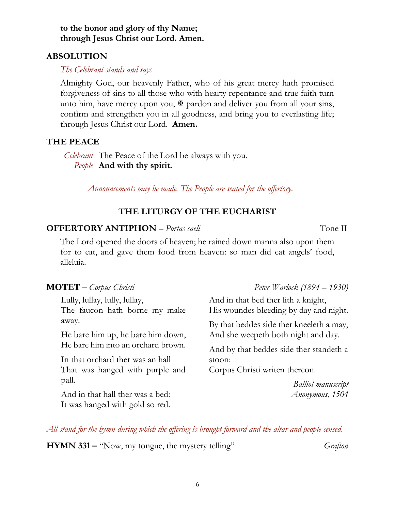**to the honor and glory of thy Name; through Jesus Christ our Lord. Amen.**

# **ABSOLUTION**

# *The Celebrant stands and says*

Almighty God, our heavenly Father, who of his great mercy hath promised forgiveness of sins to all those who with hearty repentance and true faith turn unto him, have mercy upon you,  $\mathbf{\Psi}$  pardon and deliver you from all your sins, confirm and strengthen you in all goodness, and bring you to everlasting life; through Jesus Christ our Lord. **Amen.**

# **THE PEACE**

*Celebrant* The Peace of the Lord be always with you. *People* **And with thy spirit.**

*Announcements may be made. The People are seated for the offertory.*

# **THE LITURGY OF THE EUCHARIST**

# **OFFERTORY ANTIPHON** – *Portas caeli* **Tone II** Tone II

The Lord opened the doors of heaven; he rained down manna also upon them for to eat, and gave them food from heaven: so man did eat angels' food, alleluia.

Lully, lullay, lully, lullay, The faucon hath borne my make away.

He bare him up, he bare him down, He bare him into an orchard brown.

In that orchard ther was an hall That was hanged with purple and pall.

And in that hall ther was a bed: It was hanged with gold so red.

#### **MOTET –** *Corpus Christi Peter Warlock (1894 – 1930)*

And in that bed ther lith a knight, His woundes bleeding by day and night.

By that beddes side ther kneeleth a may, And she weepeth both night and day.

And by that beddes side ther standeth a stoon:

Corpus Christi writen thereon.

 *Balliol manuscript Anonymous, 1504*

*All stand for the hymn during which the offering is brought forward and the altar and people censed.*

**HYMN 331 –** "Now, my tongue, the mystery telling" *Grafton*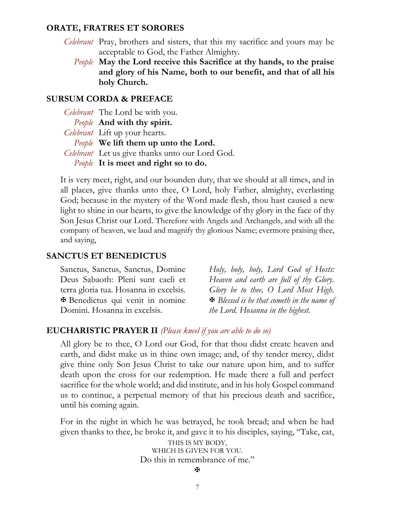#### **ORATE, FRATRES ET SORORES**

- *Celebrant* Pray, brothers and sisters, that this my sacrifice and yours may be acceptable to God, the Father Almighty.
	- *People* **May the Lord receive this Sacrifice at thy hands, to the praise and glory of his Name, both to our benefit, and that of all his holy Church.**

#### **SURSUM CORDA & PREFACE**

| Celebrant The Lord be with you.                 |
|-------------------------------------------------|
| People And with thy spirit.                     |
| <i>Celebrant</i> Lift up your hearts.           |
| <i>People</i> We lift them up unto the Lord.    |
| Celebrant Let us give thanks unto our Lord God. |
| People It is meet and right so to do.           |

It is very meet, right, and our bounden duty, that we should at all times, and in all places, give thanks unto thee, O Lord, holy Father, almighty, everlasting God; because in the mystery of the Word made flesh, thou hast caused a new light to shine in our hearts, to give the knowledge of thy glory in the face of thy Son Jesus Christ our Lord. Therefore with Angels and Archangels, and with all the company of heaven, we laud and magnify thy glorious Name; evermore praising thee, and saying,

#### **SANCTUS ET BENEDICTUS**

Sanctus, Sanctus, Sanctus, Domine Deus Sabaoth: Pleni sunt caeli et terra gloria tua. Hosanna in excelsis. Benedictus qui venit in nomine Domini. Hosanna in excelsis.

*Holy, holy, holy, Lord God of Hosts: Heaven and earth are full of thy Glory. Glory be to thee, O Lord Most High. Blessed is he that cometh in the name of the Lord. Hosanna in the highest.*

#### **EUCHARISTIC PRAYER II** *(Please kneel if you are able to do so)*

All glory be to thee, O Lord our God, for that thou didst create heaven and earth, and didst make us in thine own image; and, of thy tender mercy, didst give thine only Son Jesus Christ to take our nature upon him, and to suffer death upon the cross for our redemption. He made there a full and perfect sacrifice for the whole world; and did institute, and in his holy Gospel command us to continue, a perpetual memory of that his precious death and sacrifice, until his coming again.

For in the night in which he was betrayed, he took bread; and when he had given thanks to thee, he broke it, and gave it to his disciples, saying, "Take, eat,

> THIS IS MY BODY, WHICH IS GIVEN FOR YOU. Do this in remembrance of me."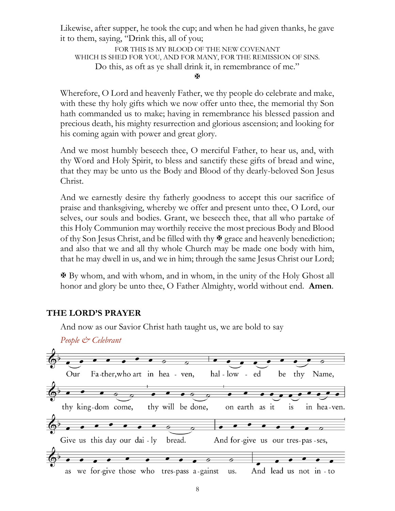Likewise, after supper, he took the cup; and when he had given thanks, he gave it to them, saying, "Drink this, all of you;

FOR THIS IS MY BLOOD OF THE NEW COVENANT WHICH IS SHED FOR YOU, AND FOR MANY, FOR THE REMISSION OF SINS. Do this, as oft as ye shall drink it, in remembrance of me."

ж

Wherefore, O Lord and heavenly Father, we thy people do celebrate and make, with these thy holy gifts which we now offer unto thee, the memorial thy Son hath commanded us to make; having in remembrance his blessed passion and precious death, his mighty resurrection and glorious ascension; and looking for his coming again with power and great glory.

And we most humbly beseech thee, O merciful Father, to hear us, and, with thy Word and Holy Spirit, to bless and sanctify these gifts of bread and wine, that they may be unto us the Body and Blood of thy dearly-beloved Son Jesus Christ.

And we earnestly desire thy fatherly goodness to accept this our sacrifice of praise and thanksgiving, whereby we offer and present unto thee, O Lord, our selves, our souls and bodies. Grant, we beseech thee, that all who partake of this Holy Communion may worthily receive the most precious Body and Blood of thy Son Jesus Christ, and be filled with thy  $\mathcal{F}$  grace and heavenly benediction; and also that we and all thy whole Church may be made one body with him, that he may dwell in us, and we in him; through the same Jesus Christ our Lord;

 By whom, and with whom, and in whom, in the unity of the Holy Ghost all honor and glory be unto thee, O Father Almighty, world without end. **Amen**.

# **THE LORD'S PRAYER**

And now as our Savior Christ hath taught us, we are bold to say

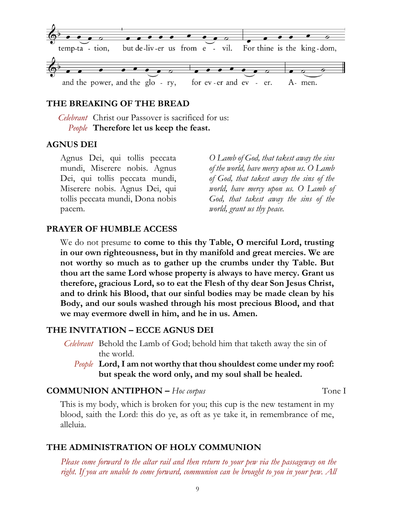

# **THE BREAKING OF THE BREAD**

*Celebrant* Christ our Passover is sacrificed for us: *People* **Therefore let us keep the feast.**

#### **AGNUS DEI**

Agnus Dei, qui tollis peccata mundi, Miserere nobis. Agnus Dei, qui tollis peccata mundi, Miserere nobis. Agnus Dei, qui tollis peccata mundi, Dona nobis pacem.

*O Lamb of God, that takest away the sins of the world, have mercy upon us. O Lamb of God, that takest away the sins of the world, have mercy upon us. O Lamb of God, that takest away the sins of the world, grant us thy peace.*

#### **PRAYER OF HUMBLE ACCESS**

We do not presume **to come to this thy Table, O merciful Lord, trusting in our own righteousness, but in thy manifold and great mercies. We are not worthy so much as to gather up the crumbs under thy Table. But thou art the same Lord whose property is always to have mercy. Grant us therefore, gracious Lord, so to eat the Flesh of thy dear Son Jesus Christ, and to drink his Blood, that our sinful bodies may be made clean by his Body, and our souls washed through his most precious Blood, and that we may evermore dwell in him, and he in us. Amen.**

#### **THE INVITATION – ECCE AGNUS DEI**

- *Celebrant* Behold the Lamb of God; behold him that taketh away the sin of the world.
	- *People* **Lord, I am not worthy that thou shouldest come under my roof: but speak the word only, and my soul shall be healed.**

#### **COMMUNION ANTIPHON –** *Hoc corpus*Tone I

This is my body, which is broken for you; this cup is the new testament in my blood, saith the Lord: this do ye, as oft as ye take it, in remembrance of me, alleluia.

#### **THE ADMINISTRATION OF HOLY COMMUNION**

*Please come forward to the altar rail and then return to your pew via the passageway on the right. If you are unable to come forward, communion can be brought to you in your pew. All*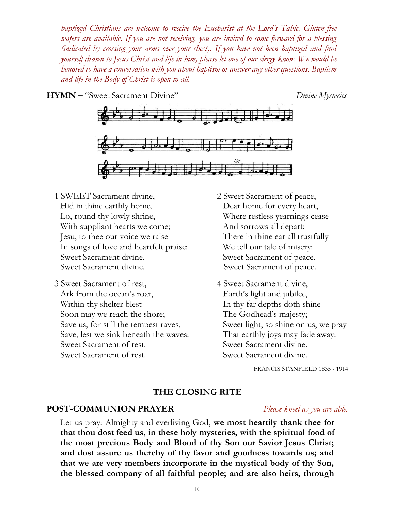*baptized Christians are welcome to receive the Eucharist at the Lord's Table. Gluten-free wafers are available. If you are not receiving, you are invited to come forward for a blessing (indicated by crossing your arms over your chest). If you have not been baptized and find yourself drawn to Jesus Christ and life in him, please let one of our clergy know. We would be honored to have a conversation with you about baptism or answer any other questions. Baptism and life in the Body of Christ is open to all.*

**HYMN –** "Sweet Sacrament Divine" *Divine Mysteries*



- 1 SWEET Sacrament divine, Hid in thine earthly home, Lo, round thy lowly shrine, With suppliant hearts we come; Jesu, to thee our voice we raise In songs of love and heartfelt praise: Sweet Sacrament divine. Sweet Sacrament divine.
- 3 Sweet Sacrament of rest, Ark from the ocean's roar, Within thy shelter blest Soon may we reach the shore; Save us, for still the tempest raves, Save, lest we sink beneath the waves: Sweet Sacrament of rest. Sweet Sacrament of rest.
- 2 Sweet Sacrament of peace, Dear home for every heart, Where restless yearnings cease And sorrows all depart; There in thine ear all trustfully We tell our tale of misery: Sweet Sacrament of peace. Sweet Sacrament of peace.
- 4 Sweet Sacrament divine, Earth's light and jubilee, In thy far depths doth shine The Godhead's majesty; Sweet light, so shine on us, we pray That earthly joys may fade away: Sweet Sacrament divine. Sweet Sacrament divine.

FRANCIS STANFIELD 1835 - 1914

#### **THE CLOSING RITE**

#### **POST-COMMUNION PRAYER** *Please kneel as you are able.*

Let us pray: Almighty and everliving God, **we most heartily thank thee for that thou dost feed us, in these holy mysteries, with the spiritual food of the most precious Body and Blood of thy Son our Savior Jesus Christ; and dost assure us thereby of thy favor and goodness towards us; and that we are very members incorporate in the mystical body of thy Son, the blessed company of all faithful people; and are also heirs, through**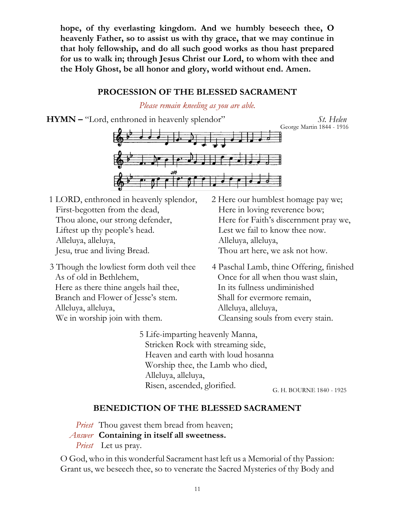**hope, of thy everlasting kingdom. And we humbly beseech thee, O heavenly Father, so to assist us with thy grace, that we may continue in that holy fellowship, and do all such good works as thou hast prepared for us to walk in; through Jesus Christ our Lord, to whom with thee and the Holy Ghost, be all honor and glory, world without end. Amen.**

# **PROCESSION OF THE BLESSED SACRAMENT**

*Please remain kneeling as you are able.*

**HYMN –** "Lord, enthroned in heavenly splendor" *St. Helen*

George Martin 1844 - 1916



- 1 LORD, enthroned in heavenly splendor, First-begotten from the dead, Thou alone, our strong defender, Liftest up thy people's head. Alleluya, alleluya, Jesu, true and living Bread.
- 3 Though the lowliest form doth veil thee As of old in Bethlehem, Here as there thine angels hail thee, Branch and Flower of Jesse's stem. Alleluya, alleluya, We in worship join with them.
- 2 Here our humblest homage pay we; Here in loving reverence bow; Here for Faith's discernment pray we, Lest we fail to know thee now. Alleluya, alleluya, Thou art here, we ask not how.
- 4 Paschal Lamb, thine Offering, finished Once for all when thou wast slain, In its fullness undiminished Shall for evermore remain, Alleluya, alleluya, Cleansing souls from every stain.
- 5 Life-imparting heavenly Manna, Stricken Rock with streaming side, Heaven and earth with loud hosanna Worship thee, the Lamb who died, Alleluya, alleluya, Risen, ascended, glorified.

G. H. BOURNE 1840 - 1925

# **BENEDICTION OF THE BLESSED SACRAMENT**

*Priest* Thou gavest them bread from heaven;

*Answer* **Containing in itself all sweetness.**

*Priest* Let us pray.

O God, who in this wonderful Sacrament hast left us a Memorial of thy Passion: Grant us, we beseech thee, so to venerate the Sacred Mysteries of thy Body and